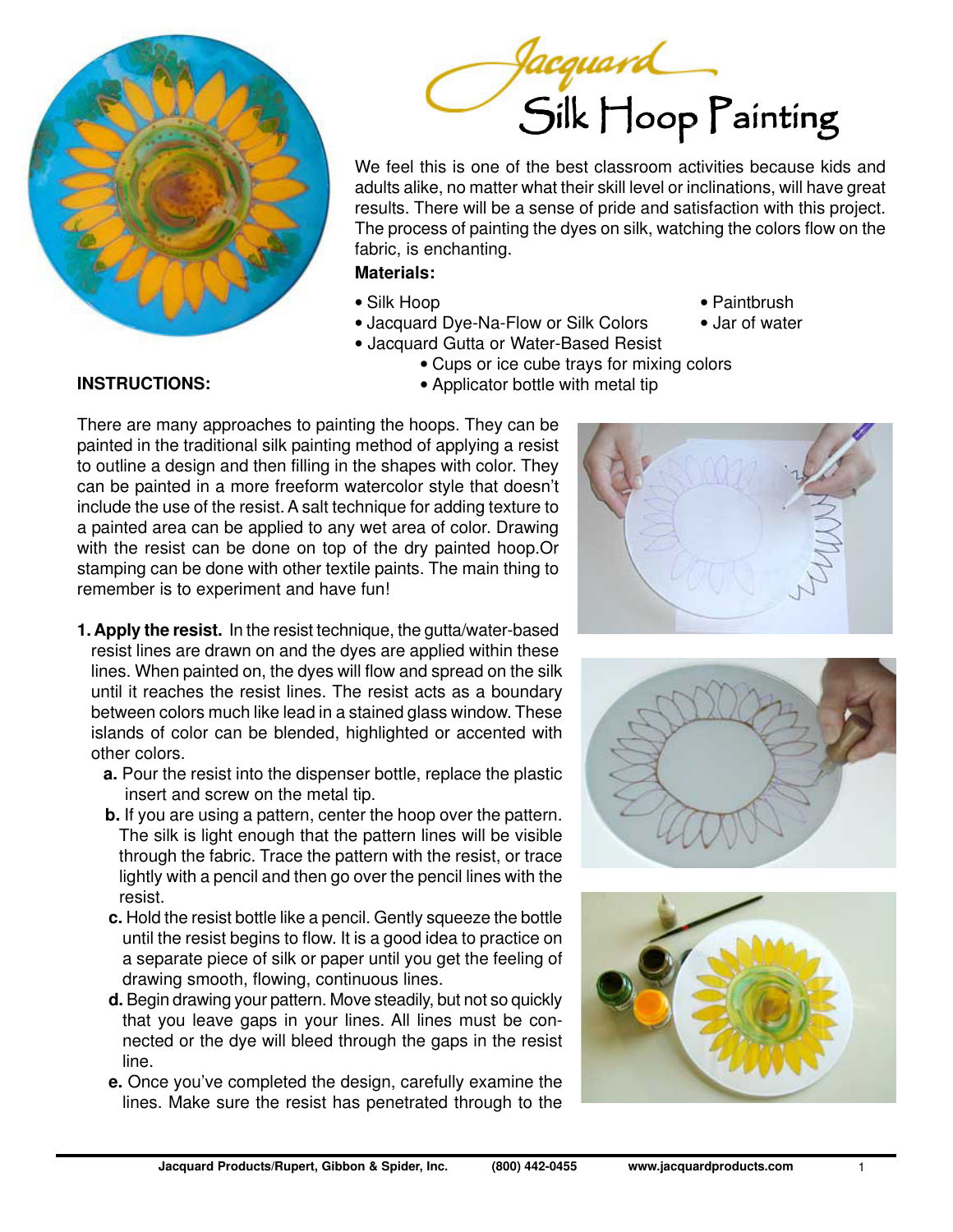



We feel this is one of the best classroom activities because kids and adults alike, no matter what their skill level or inclinations, will have great results. There will be a sense of pride and satisfaction with this project. The process of painting the dyes on silk, watching the colors flow on the fabric, is enchanting.

• Cups or ice cube trays for mixing colors

## **Materials:**

- 
- Jacquard Dye-Na-Flow or Silk Colors Jar of water • Jacquard Gutta or Water-Based Resist
- Silk Hoop Paintbrush
	-

## **INSTRUCTIONS:** • **•** Applicator bottle with metal tip

- There are many approaches to painting the hoops. They can be painted in the traditional silk painting method of applying a resist to outline a design and then filling in the shapes with color. They can be painted in a more freeform watercolor style that doesn't include the use of the resist. A salt technique for adding texture to a painted area can be applied to any wet area of color. Drawing with the resist can be done on top of the dry painted hoop.Or stamping can be done with other textile paints. The main thing to remember is to experiment and have fun!
- **1. Apply the resist.** In the resist technique, the gutta/water-based resist lines are drawn on and the dyes are applied within these lines. When painted on, the dyes will flow and spread on the silk until it reaches the resist lines. The resist acts as a boundary between colors much like lead in a stained glass window. These islands of color can be blended, highlighted or accented with other colors.
	- **a.** Pour the resist into the dispenser bottle, replace the plastic insert and screw on the metal tip.
	- **b.** If you are using a pattern, center the hoop over the pattern. The silk is light enough that the pattern lines will be visible through the fabric. Trace the pattern with the resist, or trace lightly with a pencil and then go over the pencil lines with the resist.
	- **c.** Hold the resist bottle like a pencil. Gently squeeze the bottle until the resist begins to flow. It is a good idea to practice on a separate piece of silk or paper until you get the feeling of drawing smooth, flowing, continuous lines.
	- **d.** Begin drawing your pattern. Move steadily, but not so quickly that you leave gaps in your lines. All lines must be connected or the dye will bleed through the gaps in the resist line.
	- **e.** Once you've completed the design, carefully examine the lines. Make sure the resist has penetrated through to the